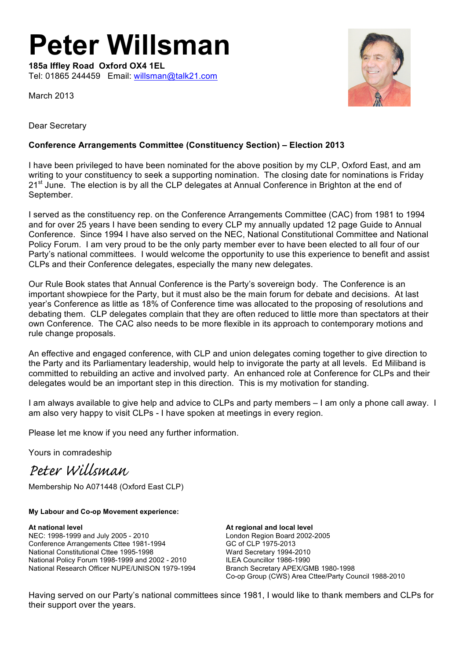# **Peter Willsman**

**185a Iffley Road Oxford OX4 1EL** Tel: 01865 244459 Email: willsman@talk21.com

March 2013



Dear Secretary

#### **Conference Arrangements Committee (Constituency Section) – Election 2013**

I have been privileged to have been nominated for the above position by my CLP, Oxford East, and am writing to your constituency to seek a supporting nomination. The closing date for nominations is Friday  $21<sup>st</sup>$  June. The election is by all the CLP delegates at Annual Conference in Brighton at the end of September.

I served as the constituency rep. on the Conference Arrangements Committee (CAC) from 1981 to 1994 and for over 25 years I have been sending to every CLP my annually updated 12 page Guide to Annual Conference. Since 1994 I have also served on the NEC, National Constitutional Committee and National Policy Forum. I am very proud to be the only party member ever to have been elected to all four of our Party's national committees. I would welcome the opportunity to use this experience to benefit and assist CLPs and their Conference delegates, especially the many new delegates.

Our Rule Book states that Annual Conference is the Party's sovereign body. The Conference is an important showpiece for the Party, but it must also be the main forum for debate and decisions. At last year's Conference as little as 18% of Conference time was allocated to the proposing of resolutions and debating them. CLP delegates complain that they are often reduced to little more than spectators at their own Conference. The CAC also needs to be more flexible in its approach to contemporary motions and rule change proposals.

An effective and engaged conference, with CLP and union delegates coming together to give direction to the Party and its Parliamentary leadership, would help to invigorate the party at all levels. Ed Miliband is committed to rebuilding an active and involved party. An enhanced role at Conference for CLPs and their delegates would be an important step in this direction. This is my motivation for standing.

I am always available to give help and advice to CLPs and party members – I am only a phone call away. I am also very happy to visit CLPs - I have spoken at meetings in every region.

Please let me know if you need any further information.

Yours in comradeship

*Peter Willsman*

Membership No A071448 (Oxford East CLP)

**My Labour and Co-op Movement experience:**

**At national level At regional and local level** NEC: 1998-1999 and July 2005 - 2010<br>
Conference Arrangements Cttee 1981-1994<br>
GC of CLP 1975-2013 Conference Arrangements Cttee 1981-1994 National Constitutional Cttee 1995-1998 Ward Secretary 1994-2010 National Policy Forum 1998-1999 and 2002 - 2010 ILEA Councillor 1986-1990 National Research Officer NUPE/UNISON 1979-1994 Branch Secretary APEX/GMB 1980-1998

Co-op Group (CWS) Area Cttee/Party Council 1988-2010

Having served on our Party's national committees since 1981, I would like to thank members and CLPs for their support over the years.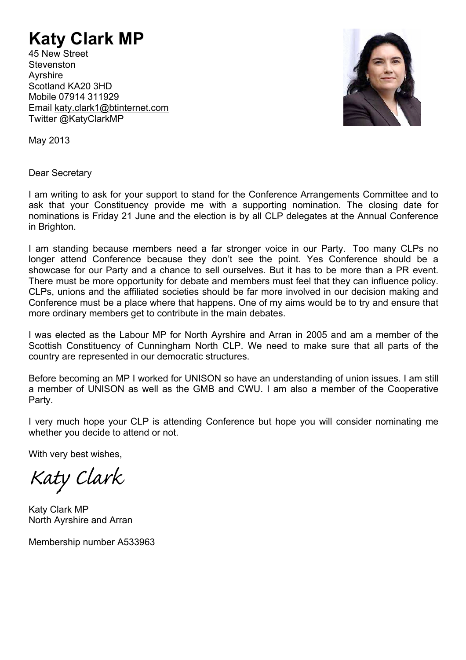## **Katy Clark MP**

45 New Street **Stevenston** Ayrshire Scotland KA20 3HD Mobile 07914 311929 Email katy.clark1@btinternet.com Twitter @KatyClarkMP



May 2013

Dear Secretary

I am writing to ask for your support to stand for the Conference Arrangements Committee and to ask that your Constituency provide me with a supporting nomination. The closing date for nominations is Friday 21 June and the election is by all CLP delegates at the Annual Conference in Brighton.

I am standing because members need a far stronger voice in our Party. Too many CLPs no longer attend Conference because they don't see the point. Yes Conference should be a showcase for our Party and a chance to sell ourselves. But it has to be more than a PR event. There must be more opportunity for debate and members must feel that they can influence policy. CLPs, unions and the affiliated societies should be far more involved in our decision making and Conference must be a place where that happens. One of my aims would be to try and ensure that more ordinary members get to contribute in the main debates.

I was elected as the Labour MP for North Ayrshire and Arran in 2005 and am a member of the Scottish Constituency of Cunningham North CLP. We need to make sure that all parts of the country are represented in our democratic structures.

Before becoming an MP I worked for UNISON so have an understanding of union issues. I am still a member of UNISON as well as the GMB and CWU. I am also a member of the Cooperative Party.

I very much hope your CLP is attending Conference but hope you will consider nominating me whether you decide to attend or not.

With very best wishes,

*Katy Clark*

Katy Clark MP North Ayrshire and Arran

Membership number A533963